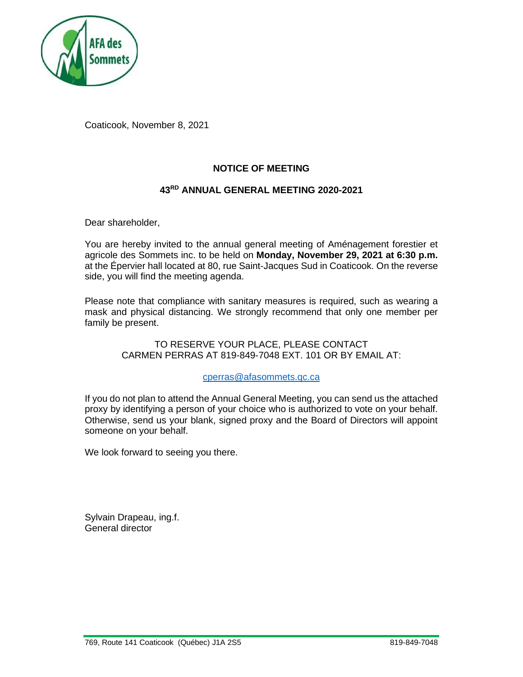

Coaticook, November 8, 2021

## **NOTICE OF MEETING**

# **43RD ANNUAL GENERAL MEETING 2020-2021**

Dear shareholder,

You are hereby invited to the annual general meeting of Aménagement forestier et agricole des Sommets inc. to be held on **Monday, November 29, 2021 at 6:30 p.m.** at the Épervier hall located at 80, rue Saint-Jacques Sud in Coaticook. On the reverse side, you will find the meeting agenda.

Please note that compliance with sanitary measures is required, such as wearing a mask and physical distancing. We strongly recommend that only one member per family be present.

> TO RESERVE YOUR PLACE, PLEASE CONTACT CARMEN PERRAS AT 819-849-7048 EXT. 101 OR BY EMAIL AT:

#### [cperras@afasommets.qc.ca](mailto:cperras@afasommets.qc.ca)

If you do not plan to attend the Annual General Meeting, you can send us the attached proxy by identifying a person of your choice who is authorized to vote on your behalf. Otherwise, send us your blank, signed proxy and the Board of Directors will appoint someone on your behalf.

We look forward to seeing you there.

Sylvain Drapeau, ing.f. General director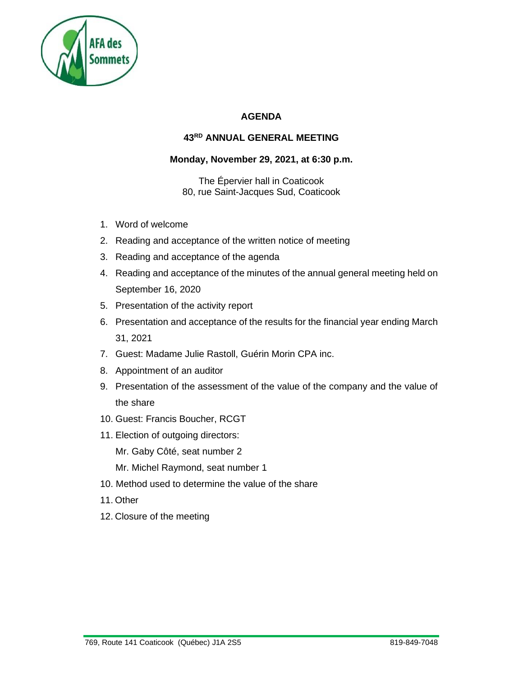

# **AGENDA**

# **43RD ANNUAL GENERAL MEETING**

### **Monday, November 29, 2021, at 6:30 p.m.**

The Épervier hall in Coaticook 80, rue Saint-Jacques Sud, Coaticook

- 1. Word of welcome
- 2. Reading and acceptance of the written notice of meeting
- 3. Reading and acceptance of the agenda
- 4. Reading and acceptance of the minutes of the annual general meeting held on September 16, 2020
- 5. Presentation of the activity report
- 6. Presentation and acceptance of the results for the financial year ending March 31, 2021
- 7. Guest: Madame Julie Rastoll, Guérin Morin CPA inc.
- 8. Appointment of an auditor
- 9. Presentation of the assessment of the value of the company and the value of the share
- 10. Guest: Francis Boucher, RCGT
- 11. Election of outgoing directors:
	- Mr. Gaby Côté, seat number 2
	- Mr. Michel Raymond, seat number 1
- 10. Method used to determine the value of the share
- 11. Other
- 12. Closure of the meeting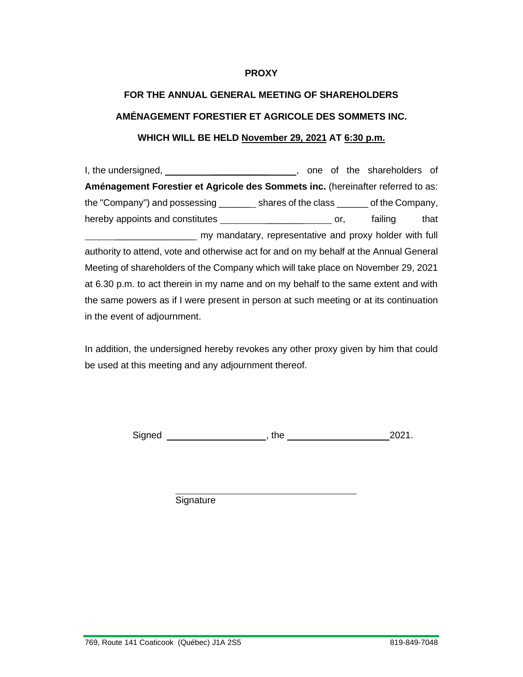#### **PROXY**

# **FOR THE ANNUAL GENERAL MEETING OF SHAREHOLDERS AMÉNAGEMENT FORESTIER ET AGRICOLE DES SOMMETS INC. WHICH WILL BE HELD November 29, 2021 AT 6:30 p.m.**

I, the undersigned, the undersigned, the shareholders of the shareholders of **Aménagement Forestier et Agricole des Sommets inc.** (hereinafter referred to as: the "Company") and possessing \_\_\_\_\_\_ shares of the class \_\_\_\_\_\_ of the Company, hereby appoints and constitutes \_\_\_\_\_\_\_\_\_\_\_\_\_\_\_\_\_\_\_\_\_\_\_\_\_\_\_\_\_ or, failing that \_\_\_\_\_\_\_\_\_\_\_\_\_\_\_ my mandatary, representative and proxy holder with full authority to attend, vote and otherwise act for and on my behalf at the Annual General Meeting of shareholders of the Company which will take place on November 29, 2021 at 6.30 p.m. to act therein in my name and on my behalf to the same extent and with the same powers as if I were present in person at such meeting or at its continuation in the event of adjournment.

In addition, the undersigned hereby revokes any other proxy given by him that could be used at this meeting and any adjournment thereof.

Signed , the 2021.

**Signature**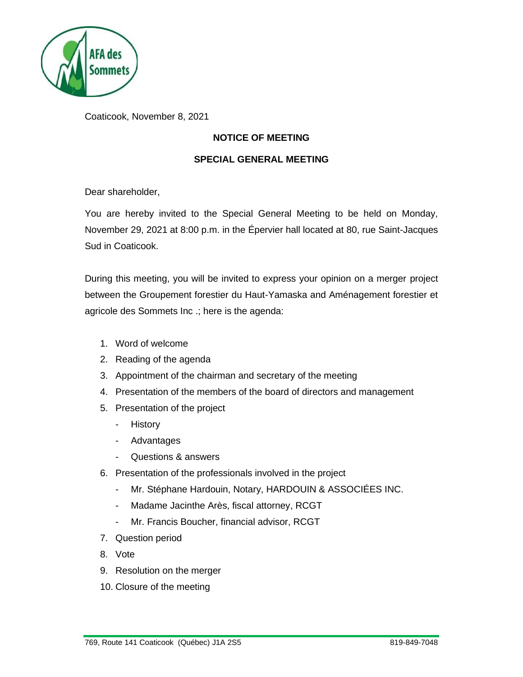

Coaticook, November 8, 2021

# **NOTICE OF MEETING**

#### **SPECIAL GENERAL MEETING**

Dear shareholder,

You are hereby invited to the Special General Meeting to be held on Monday, November 29, 2021 at 8:00 p.m. in the Épervier hall located at 80, rue Saint-Jacques Sud in Coaticook.

During this meeting, you will be invited to express your opinion on a merger project between the Groupement forestier du Haut-Yamaska and Aménagement forestier et agricole des Sommets Inc .; here is the agenda:

- 1. Word of welcome
- 2. Reading of the agenda
- 3. Appointment of the chairman and secretary of the meeting
- 4. Presentation of the members of the board of directors and management
- 5. Presentation of the project
	- History
	- Advantages
	- Questions & answers
- 6. Presentation of the professionals involved in the project
	- Mr. Stéphane Hardouin, Notary, HARDOUIN & ASSOCIÉES INC.
	- Madame Jacinthe Arès, fiscal attorney, RCGT
	- Mr. Francis Boucher, financial advisor, RCGT
- 7. Question period
- 8. Vote
- 9. Resolution on the merger
- 10. Closure of the meeting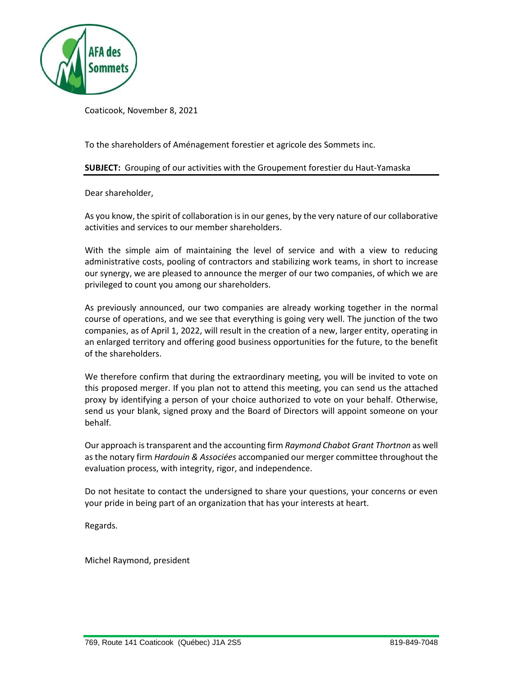

Coaticook, November 8, 2021

To the shareholders of Aménagement forestier et agricole des Sommets inc.

#### **SUBJECT:** Grouping of our activities with the Groupement forestier du Haut-Yamaska

Dear shareholder,

As you know, the spirit of collaboration is in our genes, by the very nature of our collaborative activities and services to our member shareholders.

With the simple aim of maintaining the level of service and with a view to reducing administrative costs, pooling of contractors and stabilizing work teams, in short to increase our synergy, we are pleased to announce the merger of our two companies, of which we are privileged to count you among our shareholders.

As previously announced, our two companies are already working together in the normal course of operations, and we see that everything is going very well. The junction of the two companies, as of April 1, 2022, will result in the creation of a new, larger entity, operating in an enlarged territory and offering good business opportunities for the future, to the benefit of the shareholders.

We therefore confirm that during the extraordinary meeting, you will be invited to vote on this proposed merger. If you plan not to attend this meeting, you can send us the attached proxy by identifying a person of your choice authorized to vote on your behalf. Otherwise, send us your blank, signed proxy and the Board of Directors will appoint someone on your behalf.

Our approach is transparent and the accounting firm *Raymond Chabot Grant Thortnon* as well as the notary firm *Hardouin & Associées* accompanied our merger committee throughout the evaluation process, with integrity, rigor, and independence.

Do not hesitate to contact the undersigned to share your questions, your concerns or even your pride in being part of an organization that has your interests at heart.

Regards.

Michel Raymond, president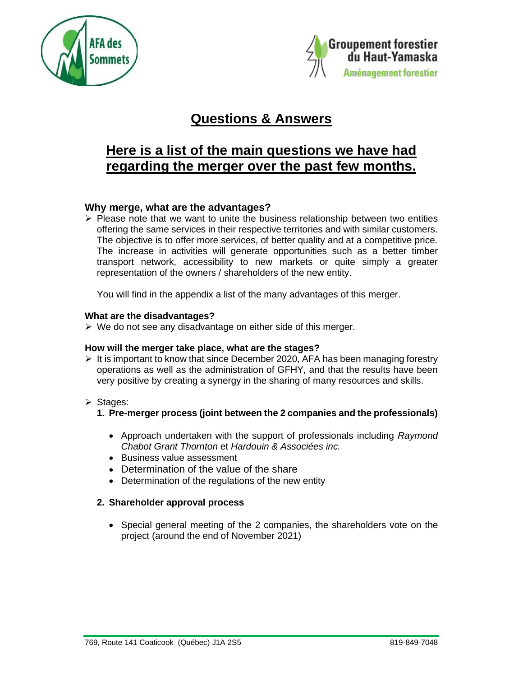



# **Questions & Answers**

# **Here is a list of the main questions we have had regarding the merger over the past few months.**

# **Why merge, what are the advantages?**

 $\triangleright$  Please note that we want to unite the business relationship between two entities offering the same services in their respective territories and with similar customers. The objective is to offer more services, of better quality and at a competitive price. The increase in activities will generate opportunities such as a better timber transport network, accessibility to new markets or quite simply a greater representation of the owners / shareholders of the new entity.

You will find in the appendix a list of the many advantages of this merger.

#### **What are the disadvantages?**

 $\triangleright$  We do not see any disadvantage on either side of this merger.

#### **How will the merger take place, what are the stages?**

- $\triangleright$  It is important to know that since December 2020, AFA has been managing forestry operations as well as the administration of GFHY, and that the results have been very positive by creating a synergy in the sharing of many resources and skills.
- ➢ Stages:
	- **1. Pre-merger process (joint between the 2 companies and the professionals)**
		- Approach undertaken with the support of professionals including *Raymond Chabot Grant Thornton* et *Hardouin & Associées inc.*
		- Business value assessment
		- Determination of the value of the share
		- Determination of the regulations of the new entity

#### **2. Shareholder approval process**

• Special general meeting of the 2 companies, the shareholders vote on the project (around the end of November 2021)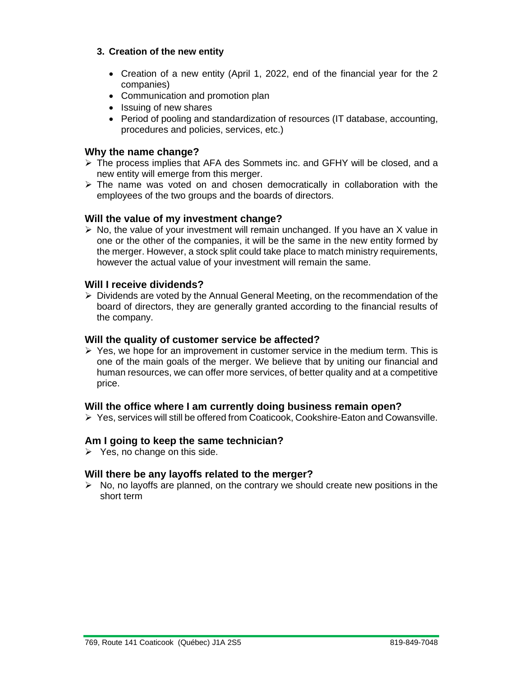#### **3. Creation of the new entity**

- Creation of a new entity (April 1, 2022, end of the financial year for the 2 companies)
- Communication and promotion plan
- Issuing of new shares
- Period of pooling and standardization of resources (IT database, accounting, procedures and policies, services, etc.)

### **Why the name change?**

- ➢ The process implies that AFA des Sommets inc. and GFHY will be closed, and a new entity will emerge from this merger.
- $\triangleright$  The name was voted on and chosen democratically in collaboration with the employees of the two groups and the boards of directors.

#### **Will the value of my investment change?**

 $\triangleright$  No, the value of your investment will remain unchanged. If you have an X value in one or the other of the companies, it will be the same in the new entity formed by the merger. However, a stock split could take place to match ministry requirements, however the actual value of your investment will remain the same.

#### **Will I receive dividends?**

 $\triangleright$  Dividends are voted by the Annual General Meeting, on the recommendation of the board of directors, they are generally granted according to the financial results of the company.

#### **Will the quality of customer service be affected?**

 $\triangleright$  Yes, we hope for an improvement in customer service in the medium term. This is one of the main goals of the merger. We believe that by uniting our financial and human resources, we can offer more services, of better quality and at a competitive price.

#### **Will the office where I am currently doing business remain open?**

➢ Yes, services will still be offered from Coaticook, Cookshire-Eaton and Cowansville.

#### **Am I going to keep the same technician?**

 $\triangleright$  Yes, no change on this side.

#### **Will there be any layoffs related to the merger?**

 $\triangleright$  No, no layoffs are planned, on the contrary we should create new positions in the short term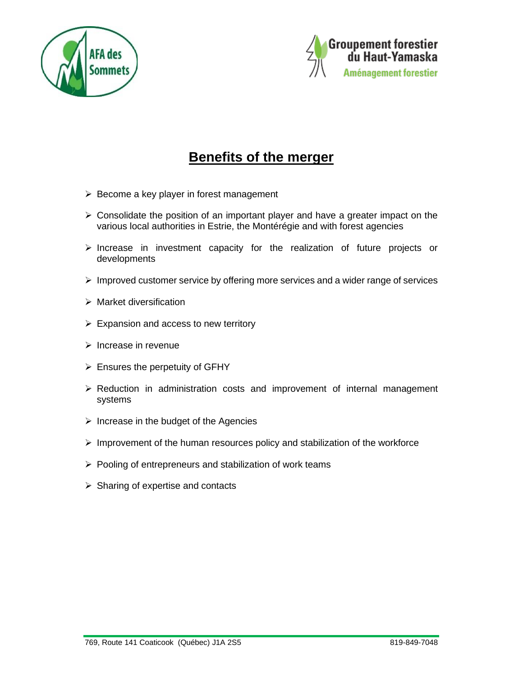



# **Benefits of the merger**

- ➢ Become a key player in forest management
- ➢ Consolidate the position of an important player and have a greater impact on the various local authorities in Estrie, the Montérégie and with forest agencies
- ➢ Increase in investment capacity for the realization of future projects or developments
- ➢ Improved customer service by offering more services and a wider range of services
- ➢ Market diversification
- $\triangleright$  Expansion and access to new territory
- ➢ Increase in revenue
- $\triangleright$  Ensures the perpetuity of GFHY
- ➢ Reduction in administration costs and improvement of internal management systems
- $\triangleright$  Increase in the budget of the Agencies
- $\triangleright$  Improvement of the human resources policy and stabilization of the workforce
- ➢ Pooling of entrepreneurs and stabilization of work teams
- $\triangleright$  Sharing of expertise and contacts